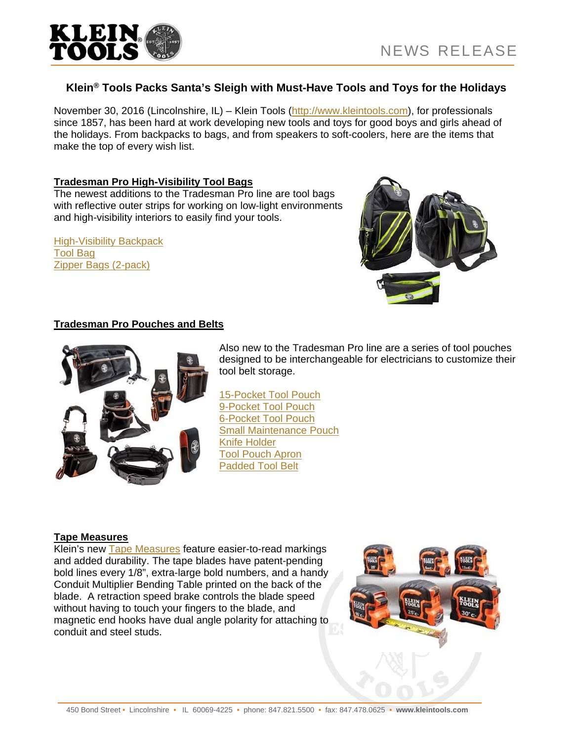

## **Klein® Tools Packs Santa's Sleigh with Must-Have Tools and Toys for the Holidays**

November 30, 2016 (Lincolnshire, IL) – Klein Tools (http://www.kleintools.com), for professionals since 1857, has been hard at work developing new tools and toys for good boys and girls ahead of the holidays. From backpacks to bags, and from speakers to soft-coolers, here are the items that make the top of every wish list.

### **Tradesman Pro High-Visibility Tool Bags**

The newest additions to the Tradesman Pro line are tool bags with reflective outer strips for working on low-light environments and high-visibility interiors to easily find your tools.

High-Visibility Backpack Tool Bag Zipper Bags (2-pack)



### **Tradesman Pro Pouches and Belts**



Also new to the Tradesman Pro line are a series of tool pouches designed to be interchangeable for electricians to customize their tool belt storage.

15-Pocket Tool Pouch 9-Pocket Tool Pouch 6-Pocket Tool Pouch Small Maintenance Pouch Knife Holder Tool Pouch Apron Padded Tool Belt

#### **Tape Measures**

Klein's new Tape Measures feature easier-to-read markings and added durability. The tape blades have patent-pending bold lines every 1/8", extra-large bold numbers, and a handy Conduit Multiplier Bending Table printed on the back of the blade. A retraction speed brake controls the blade speed without having to touch your fingers to the blade, and magnetic end hooks have dual angle polarity for attaching to conduit and steel studs.

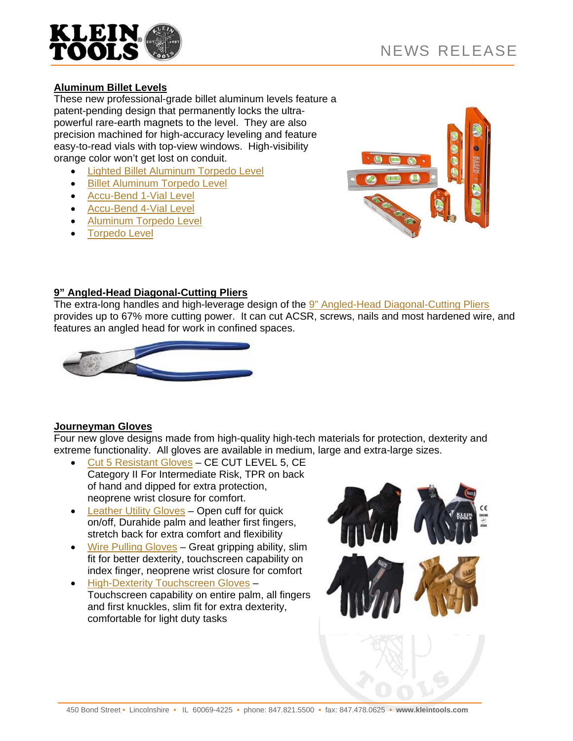

# **Aluminum Billet Levels**

These new professional-grade billet aluminum levels feature a patent-pending design that permanently locks the ultrapowerful rare-earth magnets to the level. They are also precision machined for high-accuracy leveling and feature easy-to-read vials with top-view windows. High-visibility orange color won't get lost on conduit.

- Lighted Billet Aluminum Torpedo Level
- **Billet Aluminum Torpedo Level**
- Accu-Bend 1-Vial Level
- Accu-Bend 4-Vial Level
- Aluminum Torpedo Level
- Torpedo Level



### **9" Angled-Head Diagonal-Cutting Pliers**

The extra-long handles and high-leverage design of the 9" Angled-Head Diagonal-Cutting Pliers provides up to 67% more cutting power. It can cut ACSR, screws, nails and most hardened wire, and features an angled head for work in confined spaces.



## **Journeyman Gloves**

Four new glove designs made from high-quality high-tech materials for protection, dexterity and extreme functionality. All gloves are available in medium, large and extra-large sizes.

- Cut 5 Resistant Gloves CE CUT LEVEL 5, CE Category II For Intermediate Risk, TPR on back of hand and dipped for extra protection, neoprene wrist closure for comfort.
- Leather Utility Gloves Open cuff for quick on/off, Durahide palm and leather first fingers, stretch back for extra comfort and flexibility
- Wire Pulling Gloves Great gripping ability, slim fit for better dexterity, touchscreen capability on index finger, neoprene wrist closure for comfort
- **High-Dexterity Touchscreen Gloves** Touchscreen capability on entire palm, all fingers and first knuckles, slim fit for extra dexterity, comfortable for light duty tasks